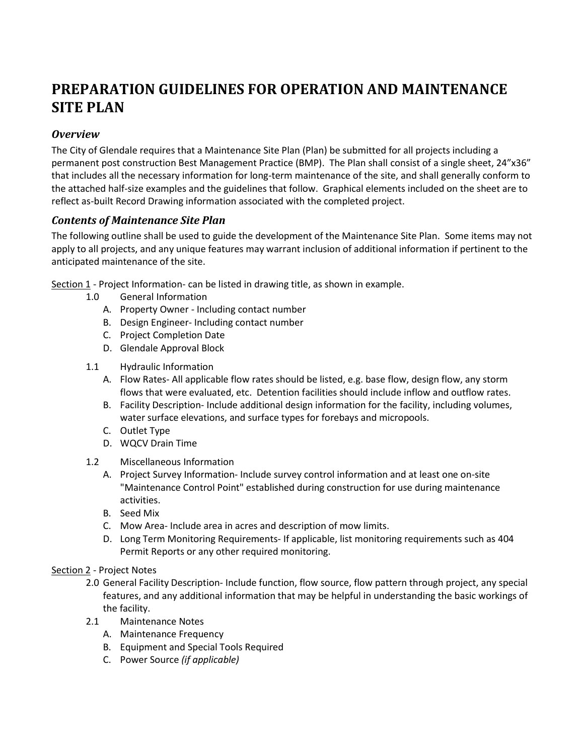# **PREPARATION GUIDELINES FOR OPERATION AND MAINTENANCE SITE PLAN**

## *Overview*

The City of Glendale requires that a Maintenance Site Plan (Plan) be submitted for all projects including a permanent post construction Best Management Practice (BMP). The Plan shall consist of a single sheet, 24"x36" that includes all the necessary information for long-term maintenance of the site, and shall generally conform to the attached half-size examples and the guidelines that follow. Graphical elements included on the sheet are to reflect as-built Record Drawing information associated with the completed project.

## *Contents of Maintenance Site Plan*

The following outline shall be used to guide the development of the Maintenance Site Plan. Some items may not apply to all projects, and any unique features may warrant inclusion of additional information if pertinent to the anticipated maintenance of the site.

Section 1 - Project Information- can be listed in drawing title, as shown in example.

- 1.0 General Information
	- A. Property Owner Including contact number
	- B. Design Engineer- Including contact number
	- C. Project Completion Date
	- D. Glendale Approval Block
- 1.1 Hydraulic Information
	- A. Flow Rates- All applicable flow rates should be listed, e.g. base flow, design flow, any storm flows that were evaluated, etc. Detention facilities should include inflow and outflow rates.
	- B. Facility Description- Include additional design information for the facility, including volumes, water surface elevations, and surface types for forebays and micropools.
	- C. Outlet Type
	- D. WQCV Drain Time
- 1.2 Miscellaneous Information
	- A. Project Survey Information- Include survey control information and at least one on-site "Maintenance Control Point" established during construction for use during maintenance activities.
	- B. Seed Mix
	- C. Mow Area- Include area in acres and description of mow limits.
	- D. Long Term Monitoring Requirements- If applicable, list monitoring requirements such as 404 Permit Reports or any other required monitoring.

#### Section 2 - Project Notes

- 2.0 General Facility Description- Include function, flow source, flow pattern through project, any special features, and any additional information that may be helpful in understanding the basic workings of the facility.
- 2.1 Maintenance Notes
	- A. Maintenance Frequency
	- B. Equipment and Special Tools Required
	- C. Power Source *(if applicable)*